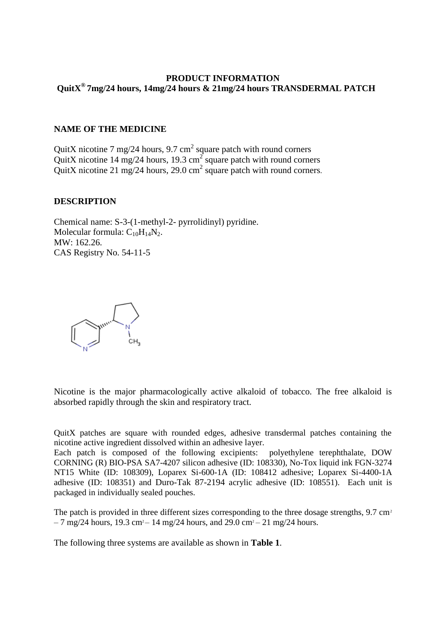### **PRODUCT INFORMATION QuitX ® 7mg/24 hours, 14mg/24 hours & 21mg/24 hours TRANSDERMAL PATCH**

#### **NAME OF THE MEDICINE**

QuitX nicotine 7 mg/24 hours, 9.7 cm<sup>2</sup> square patch with round corners QuitX nicotine 14 mg/24 hours, 19.3 cm<sup>2</sup> square patch with round corners QuitX nicotine 21 mg/24 hours, 29.0 cm<sup>2</sup> square patch with round corners.

#### **DESCRIPTION**

Chemical name: S-3-(1-methyl-2- pyrrolidinyl) pyridine. Molecular formula:  $C_{10}H_{14}N_2$ . MW: 162.26. CAS Registry No. 54-11-5



Nicotine is the major pharmacologically active alkaloid of tobacco. The free alkaloid is absorbed rapidly through the skin and respiratory tract.

QuitX patches are square with rounded edges, adhesive transdermal patches containing the nicotine active ingredient dissolved within an adhesive layer.

Each patch is composed of the following excipients: polyethylene terephthalate, DOW CORNING (R) BIO-PSA SA7-4207 silicon adhesive (ID: 108330), No-Tox liquid ink FGN-3274 NT15 White (ID: 108309), Loparex Si-600-1A (ID: 108412 adhesive; Loparex Si-4400-1A adhesive (ID: 108351) and Duro-Tak 87-2194 acrylic adhesive (ID: 108551). Each unit is packaged in individually sealed pouches.

The patch is provided in three different sizes corresponding to the three dosage strengths,  $9.7 \text{ cm}^2$  $-7 \text{ mg}/24 \text{ hours}$ , 19.3 cm<sup>2</sup> – 14 mg/24 hours, and 29.0 cm<sup>2</sup> – 21 mg/24 hours.

The following three systems are available as shown in **Table 1**.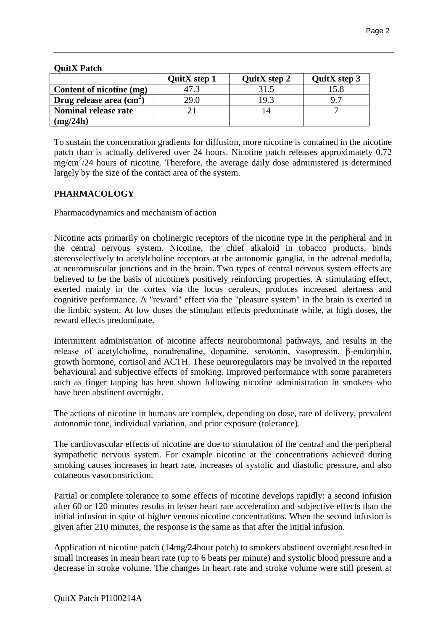## **QuitX Patch**

|                                   | <b>QuitX</b> step 1 | QuitX step 2 | QuitX step 3   |
|-----------------------------------|---------------------|--------------|----------------|
| Content of nicotine (mg)          |                     |              | 15.8           |
| Drug release area $\text{cm}^2$ ) | 29.0                | 19 3         | Q <sub>7</sub> |
| <b>Nominal release rate</b>       |                     |              |                |
| (mg/24h)                          |                     |              |                |

To sustain the concentration gradients for diffusion, more nicotine is contained in the nicotine patch than is actually delivered over 24 hours. Nicotine patch releases approximately 0.72 mg/cm<sup>2</sup>/24 hours of nicotine. Therefore, the average daily dose administered is determined largely by the size of the contact area of the system.

## **PHARMACOLOGY**

## Pharmacodynamics and mechanism of action

Nicotine acts primarily on cholinergic receptors of the nicotine type in the peripheral and in the central nervous system. Nicotine, the chief alkaloid in tobacco products, binds stereoselectively to acetylcholine receptors at the autonomic ganglia, in the adrenal medulla, at neuromuscular junctions and in the brain. Two types of central nervous system effects are believed to be the basis of nicotine's positively reinforcing properties. A stimulating effect, exerted mainly in the cortex via the locus ceruleus, produces increased alertness and cognitive performance. A "reward" effect via the "pleasure system" in the brain is exerted in the limbic system. At low doses the stimulant effects predominate while, at high doses, the reward effects predominate.

Intermittent administration of nicotine affects neurohormonal pathways, and results in the release of acetylcholine, noradrenaline, dopamine, serotonin, vasopressin, β-endorphin, growth hormone, cortisol and ACTH. These neuroregulators may be involved in the reported behavioural and subjective effects of smoking. Improved performance with some parameters such as finger tapping has been shown following nicotine administration in smokers who have been abstinent overnight.

The actions of nicotine in humans are complex, depending on dose, rate of delivery, prevalent autonomic tone, individual variation, and prior exposure (tolerance).

The cardiovascular effects of nicotine are due to stimulation of the central and the peripheral sympathetic nervous system. For example nicotine at the concentrations achieved during smoking causes increases in heart rate, increases of systolic and diastolic pressure, and also cutaneous vasoconstriction.

Partial or complete tolerance to some effects of nicotine develops rapidly: a second infusion after 60 or 120 minutes results in lesser heart rate acceleration and subjective effects than the initial infusion in spite of higher venous nicotine concentrations. When the second infusion is given after 210 minutes, the response is the same as that after the initial infusion.

Application of nicotine patch (14mg/24hour patch) to smokers abstinent overnight resulted in small increases in mean heart rate (up to 6 beats per minute) and systolic blood pressure and a decrease in stroke volume. The changes in heart rate and stroke volume were still present at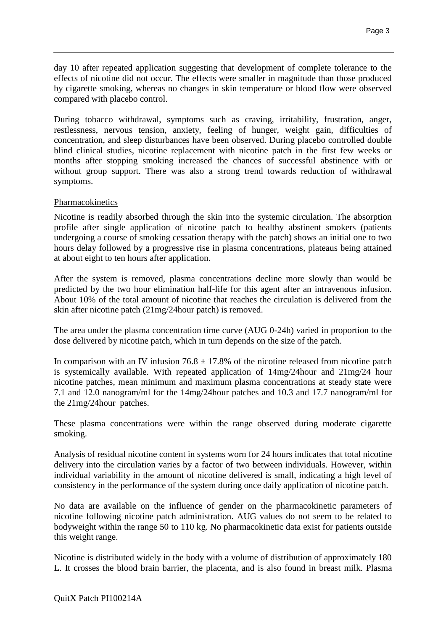day 10 after repeated application suggesting that development of complete tolerance to the effects of nicotine did not occur. The effects were smaller in magnitude than those produced by cigarette smoking, whereas no changes in skin temperature or blood flow were observed compared with placebo control.

During tobacco withdrawal, symptoms such as craving, irritability, frustration, anger, restlessness, nervous tension, anxiety, feeling of hunger, weight gain, difficulties of concentration, and sleep disturbances have been observed. During placebo controlled double blind clinical studies, nicotine replacement with nicotine patch in the first few weeks or months after stopping smoking increased the chances of successful abstinence with or without group support. There was also a strong trend towards reduction of withdrawal symptoms.

## Pharmacokinetics

Nicotine is readily absorbed through the skin into the systemic circulation. The absorption profile after single application of nicotine patch to healthy abstinent smokers (patients undergoing a course of smoking cessation therapy with the patch) shows an initial one to two hours delay followed by a progressive rise in plasma concentrations, plateaus being attained at about eight to ten hours after application.

After the system is removed, plasma concentrations decline more slowly than would be predicted by the two hour elimination half-life for this agent after an intravenous infusion. About 10% of the total amount of nicotine that reaches the circulation is delivered from the skin after nicotine patch (21mg/24hour patch) is removed.

The area under the plasma concentration time curve (AUG 0-24h) varied in proportion to the dose delivered by nicotine patch, which in turn depends on the size of the patch.

In comparison with an IV infusion  $76.8 \pm 17.8\%$  of the nicotine released from nicotine patch is systemically available. With repeated application of 14mg/24hour and 21mg/24 hour nicotine patches, mean minimum and maximum plasma concentrations at steady state were 7.1 and 12.0 nanogram/ml for the 14mg/24hour patches and 10.3 and 17.7 nanogram/ml for the 21mg/24hour patches.

These plasma concentrations were within the range observed during moderate cigarette smoking.

Analysis of residual nicotine content in systems worn for 24 hours indicates that total nicotine delivery into the circulation varies by a factor of two between individuals. However, within individual variability in the amount of nicotine delivered is small, indicating a high level of consistency in the performance of the system during once daily application of nicotine patch.

No data are available on the influence of gender on the pharmacokinetic parameters of nicotine following nicotine patch administration. AUG values do not seem to be related to bodyweight within the range 50 to 110 kg. No pharmacokinetic data exist for patients outside this weight range.

Nicotine is distributed widely in the body with a volume of distribution of approximately 180 L. It crosses the blood brain barrier, the placenta, and is also found in breast milk. Plasma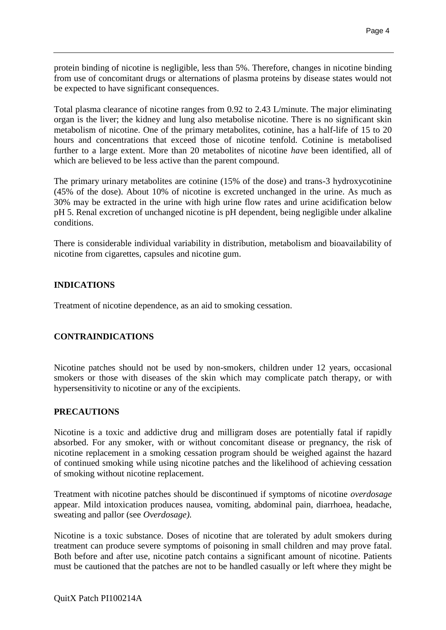protein binding of nicotine is negligible, less than 5%. Therefore, changes in nicotine binding from use of concomitant drugs or alternations of plasma proteins by disease states would not be expected to have significant consequences.

Total plasma clearance of nicotine ranges from 0.92 to 2.43 L/minute. The major eliminating organ is the liver; the kidney and lung also metabolise nicotine. There is no significant skin metabolism of nicotine. One of the primary metabolites, cotinine, has a half-life of 15 to 20 hours and concentrations that exceed those of nicotine tenfold. Cotinine is metabolised further to a large extent. More than 20 metabolites of nicotine *have* been identified, all of which are believed to be less active than the parent compound.

The primary urinary metabolites are cotinine (15% of the dose) and trans-3 hydroxycotinine (45% of the dose). About 10% of nicotine is excreted unchanged in the urine. As much as 30% may be extracted in the urine with high urine flow rates and urine acidification below pH 5. Renal excretion of unchanged nicotine is pH dependent, being negligible under alkaline conditions.

There is considerable individual variability in distribution, metabolism and bioavailability of nicotine from cigarettes, capsules and nicotine gum.

# **INDICATIONS**

Treatment of nicotine dependence, as an aid to smoking cessation.

# **CONTRAINDICATIONS**

Nicotine patches should not be used by non-smokers, children under 12 years, occasional smokers or those with diseases of the skin which may complicate patch therapy, or with hypersensitivity to nicotine or any of the excipients.

## **PRECAUTIONS**

Nicotine is a toxic and addictive drug and milligram doses are potentially fatal if rapidly absorbed. For any smoker, with or without concomitant disease or pregnancy, the risk of nicotine replacement in a smoking cessation program should be weighed against the hazard of continued smoking while using nicotine patches and the likelihood of achieving cessation of smoking without nicotine replacement.

Treatment with nicotine patches should be discontinued if symptoms of nicotine *overdosage*  appear. Mild intoxication produces nausea, vomiting, abdominal pain, diarrhoea, headache, sweating and pallor (see *Overdosage).*

Nicotine is a toxic substance. Doses of nicotine that are tolerated by adult smokers during treatment can produce severe symptoms of poisoning in small children and may prove fatal. Both before and after use, nicotine patch contains a significant amount of nicotine. Patients must be cautioned that the patches are not to be handled casually or left where they might be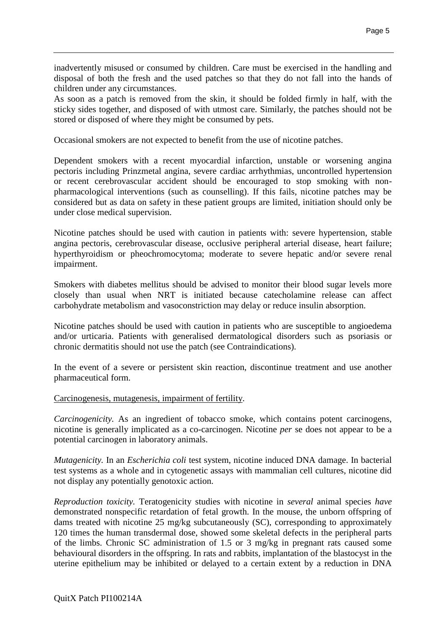inadvertently misused or consumed by children. Care must be exercised in the handling and disposal of both the fresh and the used patches so that they do not fall into the hands of children under any circumstances.

As soon as a patch is removed from the skin, it should be folded firmly in half, with the sticky sides together, and disposed of with utmost care. Similarly, the patches should not be stored or disposed of where they might be consumed by pets.

Occasional smokers are not expected to benefit from the use of nicotine patches.

Dependent smokers with a recent myocardial infarction, unstable or worsening angina pectoris including Prinzmetal angina, severe cardiac arrhythmias, uncontrolled hypertension or recent cerebrovascular accident should be encouraged to stop smoking with nonpharmacological interventions (such as counselling). If this fails, nicotine patches may be considered but as data on safety in these patient groups are limited, initiation should only be under close medical supervision.

Nicotine patches should be used with caution in patients with: severe hypertension, stable angina pectoris, cerebrovascular disease, occlusive peripheral arterial disease, heart failure; hyperthyroidism or pheochromocytoma; moderate to severe hepatic and/or severe renal impairment.

Smokers with diabetes mellitus should be advised to monitor their blood sugar levels more closely than usual when NRT is initiated because catecholamine release can affect carbohydrate metabolism and vasoconstriction may delay or reduce insulin absorption.

Nicotine patches should be used with caution in patients who are susceptible to angioedema and/or urticaria. Patients with generalised dermatological disorders such as psoriasis or chronic dermatitis should not use the patch (see Contraindications).

In the event of a severe or persistent skin reaction, discontinue treatment and use another pharmaceutical form.

#### Carcinogenesis, mutagenesis, impairment of fertility.

*Carcinogenicity*. As an ingredient of tobacco smoke, which contains potent carcinogens, nicotine is generally implicated as a co-carcinogen. Nicotine *per* se does not appear to be a potential carcinogen in laboratory animals.

*Mutagenicity.* In an *Escherichia coli* test system, nicotine induced DNA damage. In bacterial test systems as a whole and in cytogenetic assays with mammalian cell cultures, nicotine did not display any potentially genotoxic action.

*Reproduction toxicity.* Teratogenicity studies with nicotine in *several* animal species *have*  demonstrated nonspecific retardation of fetal growth. In the mouse, the unborn offspring of dams treated with nicotine 25 mg/kg subcutaneously (SC), corresponding to approximately 120 times the human transdermal dose, showed some skeletal defects in the peripheral parts of the limbs. Chronic SC administration of 1.5 or 3 mg/kg in pregnant rats caused some behavioural disorders in the offspring. In rats and rabbits, implantation of the blastocyst in the uterine epithelium may be inhibited or delayed to a certain extent by a reduction in DNA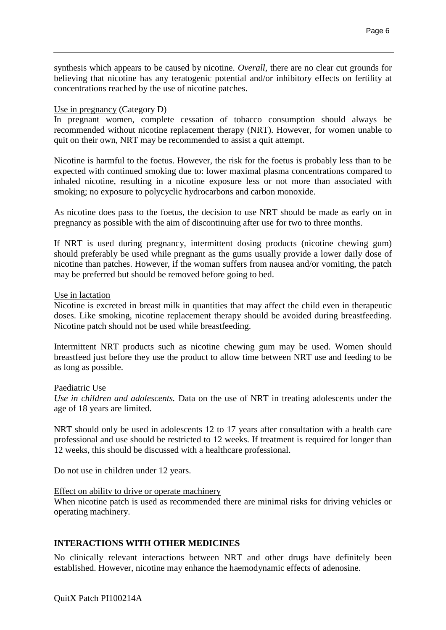synthesis which appears to be caused by nicotine. *Overall,* there are no clear cut grounds for believing that nicotine has any teratogenic potential and/or inhibitory effects on fertility at concentrations reached by the use of nicotine patches.

### Use in pregnancy (Category D)

In pregnant women, complete cessation of tobacco consumption should always be recommended without nicotine replacement therapy (NRT). However, for women unable to quit on their own, NRT may be recommended to assist a quit attempt.

Nicotine is harmful to the foetus. However, the risk for the foetus is probably less than to be expected with continued smoking due to: lower maximal plasma concentrations compared to inhaled nicotine, resulting in a nicotine exposure less or not more than associated with smoking; no exposure to polycyclic hydrocarbons and carbon monoxide.

As nicotine does pass to the foetus, the decision to use NRT should be made as early on in pregnancy as possible with the aim of discontinuing after use for two to three months.

If NRT is used during pregnancy, intermittent dosing products (nicotine chewing gum) should preferably be used while pregnant as the gums usually provide a lower daily dose of nicotine than patches. However, if the woman suffers from nausea and/or vomiting, the patch may be preferred but should be removed before going to bed.

#### Use in lactation

Nicotine is excreted in breast milk in quantities that may affect the child even in therapeutic doses. Like smoking, nicotine replacement therapy should be avoided during breastfeeding. Nicotine patch should not be used while breastfeeding.

Intermittent NRT products such as nicotine chewing gum may be used. Women should breastfeed just before they use the product to allow time between NRT use and feeding to be as long as possible.

#### Paediatric Use

*Use in children and adolescents.* Data on the use of NRT in treating adolescents under the age of 18 years are limited.

NRT should only be used in adolescents 12 to 17 years after consultation with a health care professional and use should be restricted to 12 weeks. If treatment is required for longer than 12 weeks, this should be discussed with a healthcare professional.

Do not use in children under 12 years.

#### Effect on ability to drive or operate machinery

When nicotine patch is used as recommended there are minimal risks for driving vehicles or operating machinery.

## **INTERACTIONS WITH OTHER MEDICINES**

No clinically relevant interactions between NRT and other drugs have definitely been established. However, nicotine may enhance the haemodynamic effects of adenosine.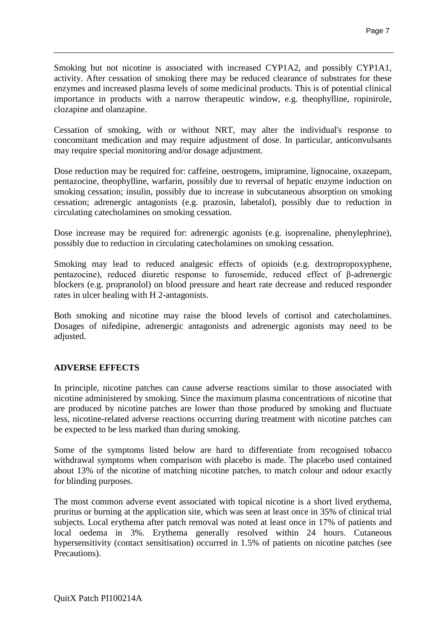Smoking but not nicotine is associated with increased CYP1A2, and possibly CYP1A1, activity. After cessation of smoking there may be reduced clearance of substrates for these enzymes and increased plasma levels of some medicinal products. This is of potential clinical importance in products with a narrow therapeutic window, e.g. theophylline, ropinirole, clozapine and olanzapine.

Cessation of smoking, with or without NRT, may alter the individual's response to concomitant medication and may require adjustment of dose. In particular, anticonvulsants may require special monitoring and/or dosage adjustment.

Dose reduction may be required for: caffeine, oestrogens, imipramine, lignocaine, oxazepam, pentazocine, theophylline, warfarin, possibly due to reversal of hepatic enzyme induction on smoking cessation; insulin, possibly due to increase in subcutaneous absorption on smoking cessation; adrenergic antagonists (e.g. prazosin, labetalol), possibly due to reduction in circulating catecholamines on smoking cessation.

Dose increase may be required for: adrenergic agonists (e.g. isoprenaline, phenylephrine), possibly due to reduction in circulating catecholamines on smoking cessation.

Smoking may lead to reduced analgesic effects of opioids (e.g. dextropropoxyphene, pentazocine), reduced diuretic response to furosemide, reduced effect of β-adrenergic blockers (e.g. propranolol) on blood pressure and heart rate decrease and reduced responder rates in ulcer healing with H 2-antagonists.

Both smoking and nicotine may raise the blood levels of cortisol and catecholamines. Dosages of nifedipine, adrenergic antagonists and adrenergic agonists may need to be adjusted.

#### **ADVERSE EFFECTS**

In principle, nicotine patches can cause adverse reactions similar to those associated with nicotine administered by smoking. Since the maximum plasma concentrations of nicotine that are produced by nicotine patches are lower than those produced by smoking and fluctuate less, nicotine-related adverse reactions occurring during treatment with nicotine patches can be expected to be less marked than during smoking.

Some of the symptoms listed below are hard to differentiate from recognised tobacco withdrawal symptoms when comparison with placebo is made. The placebo used contained about 13% of the nicotine of matching nicotine patches, to match colour and odour exactly for blinding purposes.

The most common adverse event associated with topical nicotine is a short lived erythema, pruritus or burning at the application site, which was seen at least once in 35% of clinical trial subjects. Local erythema after patch removal was noted at least once in 17% of patients and local oedema in 3%. Erythema generally resolved within 24 hours. Cutaneous hypersensitivity (contact sensitisation) occurred in 1.5% of patients on nicotine patches (see Precautions).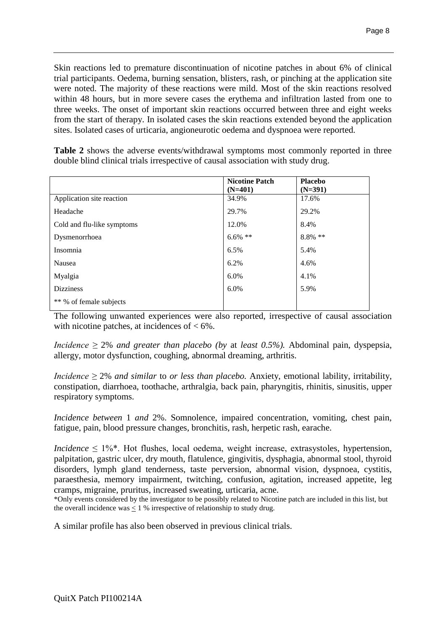Skin reactions led to premature discontinuation of nicotine patches in about 6% of clinical trial participants. Oedema, burning sensation, blisters, rash, or pinching at the application site were noted. The majority of these reactions were mild. Most of the skin reactions resolved within 48 hours, but in more severe cases the erythema and infiltration lasted from one to three weeks. The onset of important skin reactions occurred between three and eight weeks from the start of therapy. In isolated cases the skin reactions extended beyond the application sites. Isolated cases of urticaria, angioneurotic oedema and dyspnoea were reported.

**Table 2** shows the adverse events/withdrawal symptoms most commonly reported in three double blind clinical trials irrespective of causal association with study drug.

|                            | <b>Nicotine Patch</b><br>$(N=401)$ | <b>Placebo</b><br>$(N=391)$ |
|----------------------------|------------------------------------|-----------------------------|
| Application site reaction  | 34.9%                              | 17.6%                       |
| Headache                   | 29.7%                              | 29.2%                       |
| Cold and flu-like symptoms | 12.0%                              | 8.4%                        |
| Dysmenorrhoea              | $6.6\%$ **                         | $8.8\%$ **                  |
| Insomnia                   | 6.5%                               | 5.4%                        |
| Nausea                     | 6.2%                               | 4.6%                        |
| Myalgia                    | 6.0%                               | 4.1%                        |
| <b>Dizziness</b>           | 6.0%                               | 5.9%                        |
| ** % of female subjects    |                                    |                             |

The following unwanted experiences were also reported, irrespective of causal association with nicotine patches, at incidences of  $< 6\%$ .

*Incidence*  $\geq$  2% *and greater than placebo (by at least 0.5%).* Abdominal pain, dyspepsia, allergy, motor dysfunction, coughing, abnormal dreaming, arthritis.

*Incidence ≥* 2% *and similar* to *or less than placebo.* Anxiety, emotional lability, irritability, constipation, diarrhoea, toothache, arthralgia, back pain, pharyngitis, rhinitis, sinusitis, upper respiratory symptoms.

*Incidence between* 1 *and* 2%. Somnolence, impaired concentration, vomiting, chest pain, fatigue, pain, blood pressure changes, bronchitis, rash, herpetic rash, earache.

*Incidence*  $\leq 1\%$ <sup>\*</sup>. Hot flushes, local oedema, weight increase, extrasystoles, hypertension, palpitation, gastric ulcer, dry mouth, flatulence, gingivitis, dysphagia, abnormal stool, thyroid disorders, lymph gland tenderness, taste perversion, abnormal vision, dyspnoea, cystitis, paraesthesia, memory impairment, twitching, confusion, agitation, increased appetite, leg cramps, migraine, pruritus, increased sweating, urticaria, acne.

\*Only events considered by the investigator to be possibly related to Nicotine patch are included in this list, but the overall incidence was  $\leq 1$  % irrespective of relationship to study drug.

A similar profile has also been observed in previous clinical trials.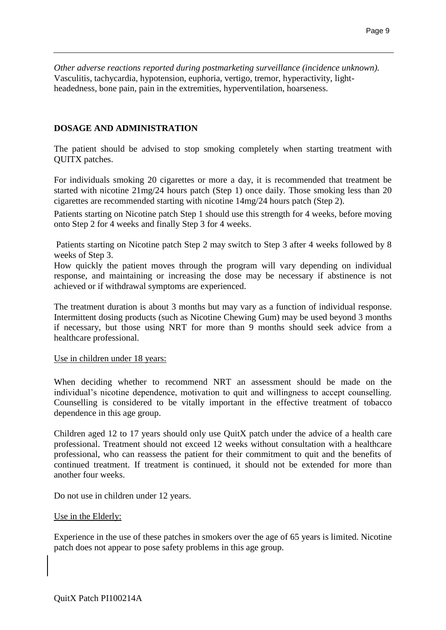*Other adverse reactions reported during postmarketing surveillance (incidence unknown).*  Vasculitis, tachycardia, hypotension, euphoria, vertigo, tremor, hyperactivity, lightheadedness, bone pain, pain in the extremities, hyperventilation, hoarseness.

## **DOSAGE AND ADMINISTRATION**

The patient should be advised to stop smoking completely when starting treatment with QUITX patches.

For individuals smoking 20 cigarettes or more a day, it is recommended that treatment be started with nicotine 21mg/24 hours patch (Step 1) once daily. Those smoking less than 20 cigarettes are recommended starting with nicotine 14mg/24 hours patch (Step 2).

Patients starting on Nicotine patch Step 1 should use this strength for 4 weeks, before moving onto Step 2 for 4 weeks and finally Step 3 for 4 weeks.

Patients starting on Nicotine patch Step 2 may switch to Step 3 after 4 weeks followed by 8 weeks of Step 3.

How quickly the patient moves through the program will vary depending on individual response, and maintaining or increasing the dose may be necessary if abstinence is not achieved or if withdrawal symptoms are experienced.

The treatment duration is about 3 months but may vary as a function of individual response. Intermittent dosing products (such as Nicotine Chewing Gum) may be used beyond 3 months if necessary, but those using NRT for more than 9 months should seek advice from a healthcare professional.

#### Use in children under 18 years:

When deciding whether to recommend NRT an assessment should be made on the individual's nicotine dependence, motivation to quit and willingness to accept counselling. Counselling is considered to be vitally important in the effective treatment of tobacco dependence in this age group.

Children aged 12 to 17 years should only use QuitX patch under the advice of a health care professional. Treatment should not exceed 12 weeks without consultation with a healthcare professional, who can reassess the patient for their commitment to quit and the benefits of continued treatment. If treatment is continued, it should not be extended for more than another four weeks.

Do not use in children under 12 years.

#### Use in the Elderly:

Experience in the use of these patches in smokers over the age of 65 years is limited. Nicotine patch does not appear to pose safety problems in this age group.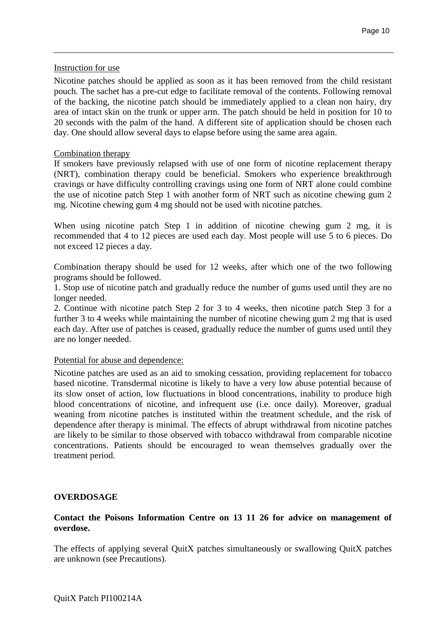#### Instruction for use

Nicotine patches should be applied as soon as it has been removed from the child resistant pouch. The sachet has a pre-cut edge to facilitate removal of the contents. Following removal of the backing, the nicotine patch should be immediately applied to a clean non hairy, dry area of intact skin on the trunk or upper arm. The patch should be held in position for 10 to 20 seconds with the palm of the hand. A different site of application should be chosen each day. One should allow several days to elapse before using the same area again.

## Combination therapy

If smokers have previously relapsed with use of one form of nicotine replacement therapy (NRT), combination therapy could be beneficial. Smokers who experience breakthrough cravings or have difficulty controlling cravings using one form of NRT alone could combine the use of nicotine patch Step 1 with another form of NRT such as nicotine chewing gum 2 mg. Nicotine chewing gum 4 mg should not be used with nicotine patches.

When using nicotine patch Step 1 in addition of nicotine chewing gum 2 mg, it is recommended that 4 to 12 pieces are used each day. Most people will use 5 to 6 pieces. Do not exceed 12 pieces a day.

Combination therapy should be used for 12 weeks, after which one of the two following programs should be followed.

1. Stop use of nicotine patch and gradually reduce the number of gums used until they are no longer needed.

2. Continue with nicotine patch Step 2 for 3 to 4 weeks, then nicotine patch Step 3 for a further 3 to 4 weeks while maintaining the number of nicotine chewing gum 2 mg that is used each day. After use of patches is ceased, gradually reduce the number of gums used until they are no longer needed.

#### Potential for abuse and dependence:

Nicotine patches are used as an aid to smoking cessation, providing replacement for tobacco based nicotine. Transdermal nicotine is likely to have a very low abuse potential because of its slow onset of action, low fluctuations in blood concentrations, inability to produce high blood concentrations of nicotine, and infrequent use (i.e. once daily). Moreover, gradual weaning from nicotine patches is instituted within the treatment schedule, and the risk of dependence after therapy is minimal. The effects of abrupt withdrawal from nicotine patches are likely to be similar to those observed with tobacco withdrawal from comparable nicotine concentrations. Patients should be encouraged to wean themselves gradually over the treatment period.

#### **OVERDOSAGE**

## **Contact the Poisons Information Centre on 13 11 26 for advice on management of overdose.**

The effects of applying several QuitX patches simultaneously or swallowing QuitX patches are unknown (see Precautions).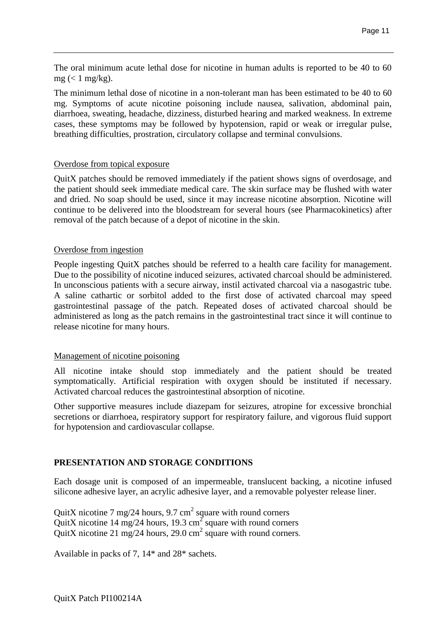The oral minimum acute lethal dose for nicotine in human adults is reported to be 40 to 60 mg  $(< 1$  mg/kg).

The minimum lethal dose of nicotine in a non-tolerant man has been estimated to be 40 to 60 mg. Symptoms of acute nicotine poisoning include nausea, salivation, abdominal pain, diarrhoea, sweating, headache, dizziness, disturbed hearing and marked weakness. In extreme cases, these symptoms may be followed by hypotension, rapid or weak or irregular pulse, breathing difficulties, prostration, circulatory collapse and terminal convulsions.

#### Overdose from topical exposure

QuitX patches should be removed immediately if the patient shows signs of overdosage, and the patient should seek immediate medical care. The skin surface may be flushed with water and dried. No soap should be used, since it may increase nicotine absorption. Nicotine will continue to be delivered into the bloodstream for several hours (see Pharmacokinetics) after removal of the patch because of a depot of nicotine in the skin.

## Overdose from ingestion

People ingesting QuitX patches should be referred to a health care facility for management. Due to the possibility of nicotine induced seizures, activated charcoal should be administered. In unconscious patients with a secure airway, instil activated charcoal via a nasogastric tube. A saline cathartic or sorbitol added to the first dose of activated charcoal may speed gastrointestinal passage of the patch. Repeated doses of activated charcoal should be administered as long as the patch remains in the gastrointestinal tract since it will continue to release nicotine for many hours.

## Management of nicotine poisoning

All nicotine intake should stop immediately and the patient should be treated symptomatically. Artificial respiration with oxygen should be instituted if necessary. Activated charcoal reduces the gastrointestinal absorption of nicotine.

Other supportive measures include diazepam for seizures, atropine for excessive bronchial secretions or diarrhoea, respiratory support for respiratory failure, and vigorous fluid support for hypotension and cardiovascular collapse.

## **PRESENTATION AND STORAGE CONDITIONS**

Each dosage unit is composed of an impermeable, translucent backing, a nicotine infused silicone adhesive layer, an acrylic adhesive layer, and a removable polyester release liner.

QuitX nicotine 7 mg/24 hours, 9.7 cm<sup>2</sup> square with round corners QuitX nicotine 14 mg/24 hours, 19.3 cm<sup>2</sup> square with round corners QuitX nicotine 21 mg/24 hours, 29.0 cm<sup>2</sup> square with round corners.

Available in packs of 7, 14\* and 28\* sachets.